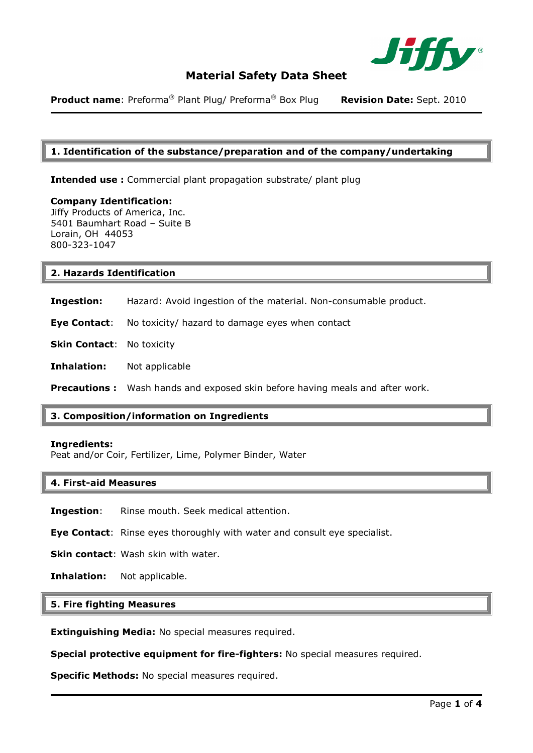

**Product name**: Preforma® Plant Plug/ Preforma® Box Plug **Revision Date:** Sept. 2010

## **1. Identification of the substance/preparation and of the company/undertaking**

**Intended use :** Commercial plant propagation substrate/ plant plug

**Company Identification:**  Jiffy Products of America, Inc. 5401 Baumhart Road – Suite B Lorain, OH 44053 800-323-1047

#### **2. Hazards Identification**

**Ingestion:** Hazard: Avoid ingestion of the material. Non-consumable product.

**Eye Contact**: No toxicity/ hazard to damage eyes when contact

**Skin Contact:** No toxicity

**Inhalation:** Not applicable

**Precautions :** Wash hands and exposed skin before having meals and after work.

## **3. Composition/information on Ingredients**

#### **Ingredients:**

Peat and/or Coir, Fertilizer, Lime, Polymer Binder, Water

#### **4. First-aid Measures**

**Ingestion**: Rinse mouth. Seek medical attention.

**Eye Contact**: Rinse eyes thoroughly with water and consult eye specialist.

**Skin contact: Wash skin with water.** 

**Inhalation:** Not applicable.

# **5. Fire fighting Measures**

**Extinguishing Media:** No special measures required.

**Special protective equipment for fire-fighters:** No special measures required.

**Specific Methods:** No special measures required.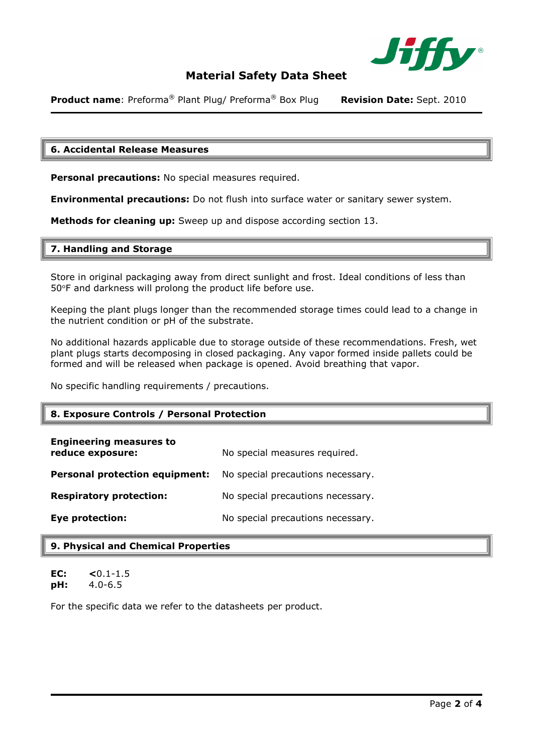

**Product name**: Preforma® Plant Plug/ Preforma® Box Plug **Revision Date:** Sept. 2010

### **6. Accidental Release Measures**

**Personal precautions:** No special measures required.

**Environmental precautions:** Do not flush into surface water or sanitary sewer system.

**Methods for cleaning up:** Sweep up and dispose according section 13.

#### **7. Handling and Storage**

Store in original packaging away from direct sunlight and frost. Ideal conditions of less than 50°F and darkness will prolong the product life before use.

Keeping the plant plugs longer than the recommended storage times could lead to a change in the nutrient condition or pH of the substrate.

No additional hazards applicable due to storage outside of these recommendations. Fresh, wet plant plugs starts decomposing in closed packaging. Any vapor formed inside pallets could be formed and will be released when package is opened. Avoid breathing that vapor.

No specific handling requirements / precautions.

## **8. Exposure Controls / Personal Protection**

| <b>Engineering measures to</b><br>reduce exposure: | No special measures required.     |
|----------------------------------------------------|-----------------------------------|
| <b>Personal protection equipment:</b>              | No special precautions necessary. |
| <b>Respiratory protection:</b>                     | No special precautions necessary. |
| <b>Eye protection:</b>                             | No special precautions necessary. |

# **9. Physical and Chemical Properties**

**EC: <**0.1-1.5 **pH:** 4.0-6.5

For the specific data we refer to the datasheets per product.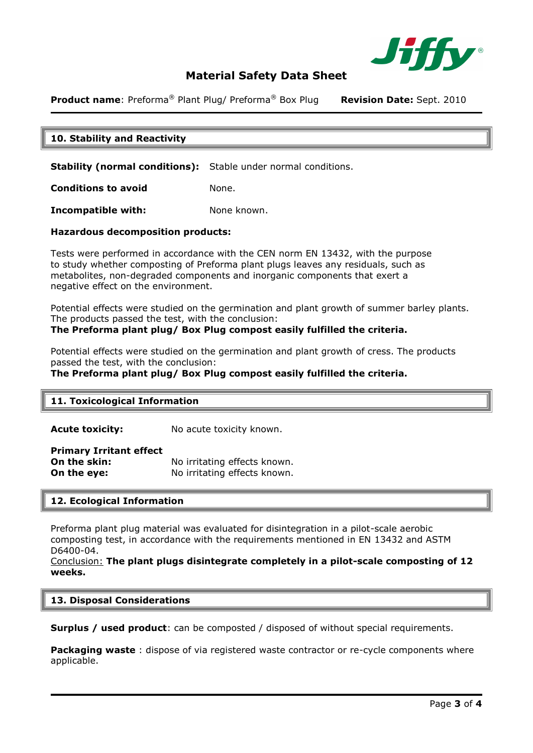

**Product name:** Preforma<sup>®</sup> Plant Plug/ Preforma<sup>®</sup> Box Plug **Revision Date:** Sept. 2010

# **10. Stability and Reactivity**

**Stability (normal conditions):** Stable under normal conditions.

**Conditions to avoid** None.

**Incompatible with:** None known.

#### **Hazardous decomposition products:**

Tests were performed in accordance with the CEN norm EN 13432, with the purpose to study whether composting of Preforma plant plugs leaves any residuals, such as metabolites, non-degraded components and inorganic components that exert a negative effect on the environment.

Potential effects were studied on the germination and plant growth of summer barley plants. The products passed the test, with the conclusion:

### **The Preforma plant plug/ Box Plug compost easily fulfilled the criteria.**

Potential effects were studied on the germination and plant growth of cress. The products passed the test, with the conclusion:

**The Preforma plant plug/ Box Plug compost easily fulfilled the criteria.** 

## **11. Toxicological Information**

**Acute toxicity:** No acute toxicity known.

#### **Primary Irritant effect**

**On the skin:** No irritating effects known. **On the eye:** No irritating effects known.

#### **12. Ecological Information**

Preforma plant plug material was evaluated for disintegration in a pilot-scale aerobic composting test, in accordance with the requirements mentioned in EN 13432 and ASTM D6400-04.

Conclusion: **The plant plugs disintegrate completely in a pilot-scale composting of 12 weeks.**

#### **13. Disposal Considerations**

**Surplus / used product**: can be composted / disposed of without special requirements.

**Packaging waste** : dispose of via registered waste contractor or re-cycle components where applicable.